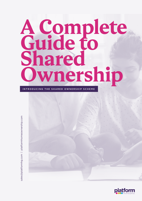### **A Complete Guide to Shared Ownership**

INTRODUCING THE SHARED OWNERSHIP SCHEME

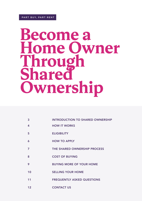### **Become a**  me Owner **Through Share Ownership**

- 3 INTRODUCTION TO SHARED OWNERSHIP
- 4 HOW IT WORKS
- 5 ELIGIBILITY
- 6 HOW TO APPLY
- 7 THE SHARED OWNERSHIP PROCESS
- 8 COST OF BUYING
- 9 BUYING MORE OF YOUR HOME
- 10 **SELLING YOUR HOME**
- 11 FREQUENTLY ASKED QUESTIONS
- 12 CONTACT US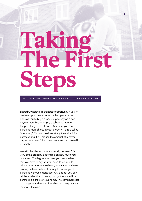# **Taking The First Steps**

**3**

### TO OWNING YOUR OWN SHARED OWNERSHIP HOME

Shared Ownership is a fantastic opportunity if you're unable to purchase a home on the open market. It allows you to buy a share in a property on a part buy/part rent basis and pay a subsidised rent on the part that you don't own. Over time, you can purchase more shares in your property – this is called 'staircasing'. This can be done at any time after initial purchase and it will reduce the amount of rent you pay as the share of the home that you don't own will be smaller.

We will offer shares for sale normally between 25- 75% of the property depending on how much you can afford. The bigger the share you buy, the less rent you have to pay. You will need to be able to raise a mortgage for the share you want to purchase unless you have sufficient money to enable you to purchase without a mortgage. Any deposit you pay will be smaller than if buying outright as you will be purchasing a share of your home. The combined cost of mortgage and rent is often cheaper than privately renting in the area.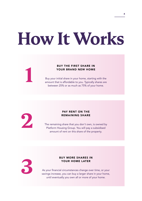## **How It Works**

### BUY THE FIRST SHARE IN YOUR BRAND NEW HOME

Buy your initial share in your home, starting with the amount that is affordable to you. Typically shares are between 25% or as much as 75% of your home.



**1**

### PAY RENT ON THE REMAINING SHARE

The remaining share that you don't own, is owned by Platform Housing Group. You will pay a subsidised amount of rent on this share of the property.



### BUY MORE SHARES IN YOUR HOME LATER

As your financial circumstances change over time, or your savings increase, you can buy a larger share in your home, until eventually you own all or more of your home.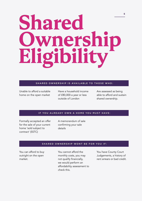# **Shared Ownership Eligibility**

### SHARED OWNERSHIP IS AVAILABLE TO THOSE WHO:

Unable to afford a suitable home on the open market

Have a household income of £80,000 a year or less outside of London

Are assessed as being able to afford and sustain shared ownership.

### IF YOU ALREADY OWN A HOME YOU MUST HAVE:

Formally accepted an offer for the sale of your current home 'sold subject to contract' (SSTC)

A memorandum of sale confirming your sale details

### SHARED OWNERSHIP WONT BE FOR YOU IF:

You can afford to buy outright on the open market.

You cannot afford the monthly costs, you may not qualify financially, we would perform an affordability assessment to check this.

You have County Court Judgements, a history of rent arrears or bad credit.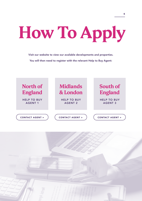# **How To Apply**

Visit ou[r website to](http://platformhomeownership.com/) view our available developments and properties. You will then need to register with the relevant Help to Buy Agent:



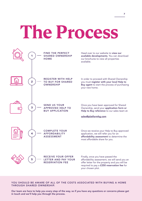# **The Process**



### YOU SHOULD BE AWARE OF ALL OF THE COSTS ASSOCIATED WITH BUYING A HOME THROUGH SHARED OWNERSHIP.

Our team are here to help you every step of the way, so if you have any questions or concerns please get in touch and we'll help you through the process.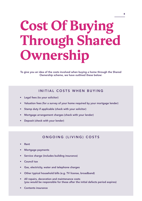### **Cost Of Buying Through Shared Ownership**

To give you an idea of the costs involved when buying a home through the Shared Ownership scheme, we have outlined these below:

### INITIAL COSTS WHEN BUYING

- Legal fees (to your solicitor)
- Valuation fees (for a survey of your home required by your mortgage lender)
- Stamp duty if applicable (check with your solicitor)
- Mortgage arrangement charges (check with your lender)
- Deposit (check with your lender)

### ONGOING (LIVING) COSTS

- Rent
- Mortgage payments
- Service charge (includes building insurance)
- Council tax
- Gas, electricity, water and telephone charges
- Other typical household bills (e.g. TV license, broadband)
- All repairs, decoration and maintenance costs (you would be responsible for these after the initial defects period expires)
- Contents insurance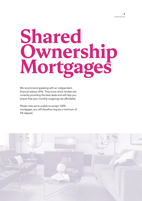### **Shared Ownership Mortgages**

We recommend speaking with an independent financial advisor (IFA). They know which lenders are currently providing the best deals and will help you ensure that your monthly outgoings are affordable.

Please note we're unable to accept 100% mortgages, you will therefore require a minimum of 5% deposit.

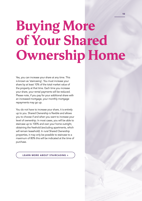### **Buying More of Your Shared Ownership Home**

Yes, you can increase your share at any time. This is known as 'staircasing'. You must increase your share by at least 10% of the total market value of the property at that time. Each time you increase your share, your rental payments will be reduced. Please note, if you pay for your additional share with an increased mortgage, your monthly mortgage repayments may go up.

You do not have to increase your share, it is entirely up to you. Shared Ownership is flexible and allows you to choose if and when you want to increase your level of ownership. In most cases, you will be able to staircase up to 100% and own your home outright, obtaining the freehold (excluding apartments, which will remain leasehold). In rural Shared Ownership properties, it may only be possible to staircase to a maximum of 80% this will be indicated at the time of purchase.

[LEARN MORE ABOUT STAIRCASING >](https://www.platformhomeownership.com/existing-homeowners/staircasing/)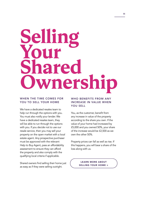### **Selling Your**  12re **Ownership**

### WHEN THE TIME COMES FOR YOU TO SELL YOUR HOME

We have a dedicated resales team to help run through the options with you. You must also notify your lender. We have a dedicated resales team, they will be able to run through the options with you. If you decide not to use our resale service, then you may sell your property on the open market with a local estate agent. Any prospective purchaser must be approved with the relevant Help to Buy Agent, pass an affordability assessment to ensure they can afford the property and also comply with the qualifying local criteria if applicable.

Shared owners find selling their home just as easy as if they were selling outright.

### WHO BENEFITS FROM ANY INCREASE IN VALUE WHEN YOU SELL

You, as the customer, benefit from any increase in value of the property according to the share you own. If the value of your home had increased by £5,000 and you owned 50%, your share of the increase would be £2,500 as we own the other 50%.

Property prices can fall as well as rise. If this happens, you will bear a share of the loss along with us.

> LEARN MORE ABOUT [SELLING YOUR HOME >](https://www.platformhomeownership.com/existing-homeowners/selling-your-home/)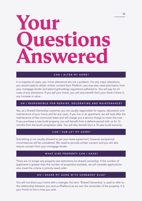### **Your Questions Answered**

### CAN I ALTER MY HOME?

In a majority of cases, yes, minor alterations are not a problem. For any major alterations, you would need to obtain written consent from Platform, you may also need permission from your mortgage lender and planning/buildings regulations adhered to. You will pay for all costs of any alterations. If you sell your home, you will only benefit from your share if there is any increase in value.

### AM I RESPONSIBLE FOR REPAIRS, DECORATING AND MAINTENANCE?

Yes, as a Shared Ownership customer, you are usually responsible for repairs, decoration and maintenance of your home and for any costs. If you live in an apartment, we will look after the maintenance of the communal areas and will charge you a service charge to cover the cost. If you purchase a new build property, you will benefit from a defects period with us for 12 months from the build completion date. You will also benefit from a 10 year build warranty.

### CAN I SUB-LET MY HOME?

Sub-letting is not usually allowed as per your lease agreement, however exceptional circumstances will be considered. We need to provide written consent and you will also require consent from your mortgage lender.

### WHAT SIZE PROPERTY CAN I HAVE?

There are no longer any property size restrictions for shared ownership. If the number of applicants is greater than the number of properties available, we will consider applications who meet the criteria in priority need order.

### DO I SHARE MY HOME WITH SOMEBODY ELSE?

You will not share your home with a stranger, the term 'Shared Ownership' is used to refer to the relationship between you and us (Platform) as we own the remainder of the property. It is your home to live in how you wish.